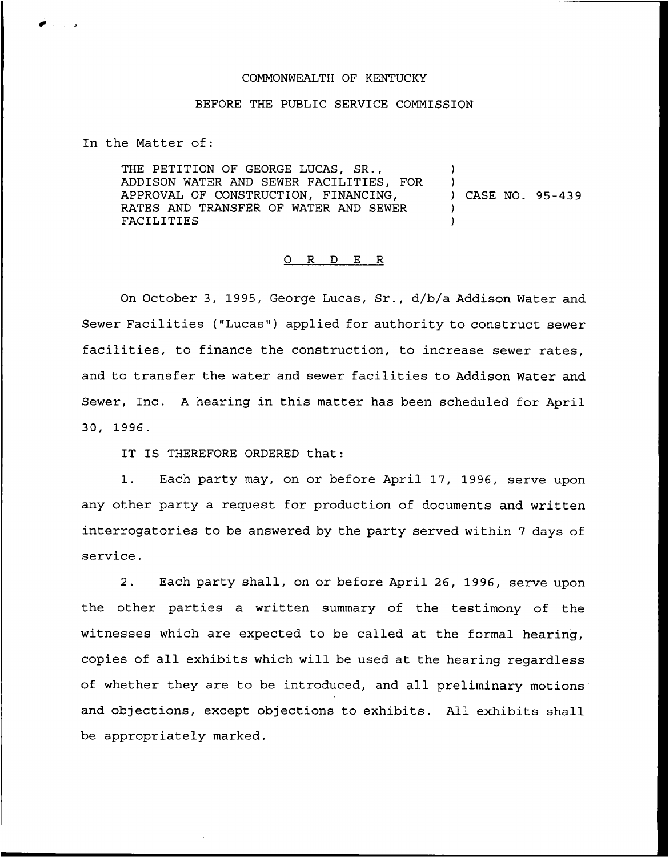## COMMONWEALTH OF KENTUCKY

## BEFORE THE PUBLIC SERVICE COMMISSION

In the Matter of:

ن المحمد المحمد المحمد المحمد المحمد المحمد المحمد المحمد المحمد المحمد المحمد المحمد المحمد المحمد<br>المحمد المحمد المحمد المحمد المحمد المحمد المحمد المحمد المحمد المحمد المحمد المحمد المحمد المحمد المحمد المحم

THE PETITION OF GEORGE LUCAS, SR., ADDISON WATER AND SEWER FACILITIES, FOR APPROVAL OF CONSTRUCTION, FINANCING, RATES AND TRANSFER OF WATER AND SEWER FACILITIES ) ) ) CASE NO. 95-439 ) )

## 0 R <sup>D</sup> E R

On October 3, 1995, George Lucas, Sr., d/b/a Addison Water and Sewer Facilities ("Lucas") applied for authority to construct sewer facilities, to finance the construction, to increase sewer rates, and to transfer the water and sewer facilities to Addison Water and Sewer, Inc. <sup>A</sup> hearing in this matter has been scheduled for April 30, 1996.

IT IS THEREFORE ORDERED that:

1. Each party may, on or before April 17, 1996, serve upon any other party a request for production of documents and written interrogatories to be answered by the party served within <sup>7</sup> days of service.

2. Each party shall, on or before April 26, 1996, serve upon the other parties a written summary of the testimony of the witnesses which are expected to be called at the formal hearing, copies of all exhibits which. will be used at the hearing regardless of whether they are to be introduced, and all preliminary motions and objections, except objections to exhibits. All exhibits shall be appropriately marked.